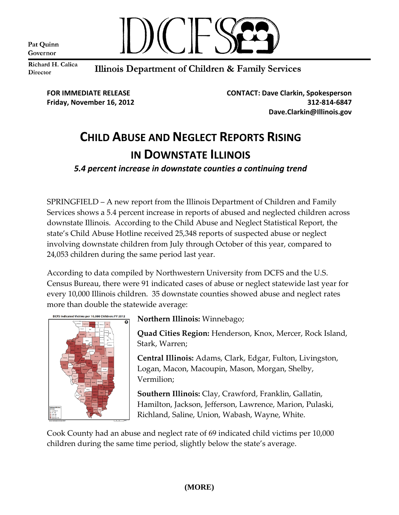Pat Quinn Governor



Richard H. Calica **Director** 

Illinois Department of Children & Family Services

**FOR IMMEDIATE RELEASE CONTACT: Dave Clarkin, Spokesperson Friday, November 16, 2012 312-814-6847 Dave.Clarkin@Illinois.gov**

## **CHILD ABUSE AND NEGLECT REPORTS RISING IN DOWNSTATE ILLINOIS**

*5.4 percent increase in downstate counties a continuing trend*

SPRINGFIELD – A new report from the Illinois Department of Children and Family Services shows a 5.4 percent increase in reports of abused and neglected children across downstate Illinois. According to the Child Abuse and Neglect Statistical Report, the state's Child Abuse Hotline received 25,348 reports of suspected abuse or neglect involving downstate children from July through October of this year, compared to 24,053 children during the same period last year.

According to data compiled by Northwestern University from DCFS and the U.S. Census Bureau, there were 91 indicated cases of abuse or neglect statewide last year for every 10,000 Illinois children. 35 downstate counties showed abuse and neglect rates more than double the statewide average:



**Northern Illinois:** Winnebago;

**Quad Cities Region:** Henderson, Knox, Mercer, Rock Island, Stark, Warren;

**Central Illinois:** Adams, Clark, Edgar, Fulton, Livingston, Logan, Macon, Macoupin, Mason, Morgan, Shelby, Vermilion;

**Southern Illinois:** Clay, Crawford, Franklin, Gallatin, Hamilton, Jackson, Jefferson, Lawrence, Marion, Pulaski, Richland, Saline, Union, Wabash, Wayne, White.

Cook County had an abuse and neglect rate of 69 indicated child victims per 10,000 children during the same time period, slightly below the state's average.

## **(MORE)**